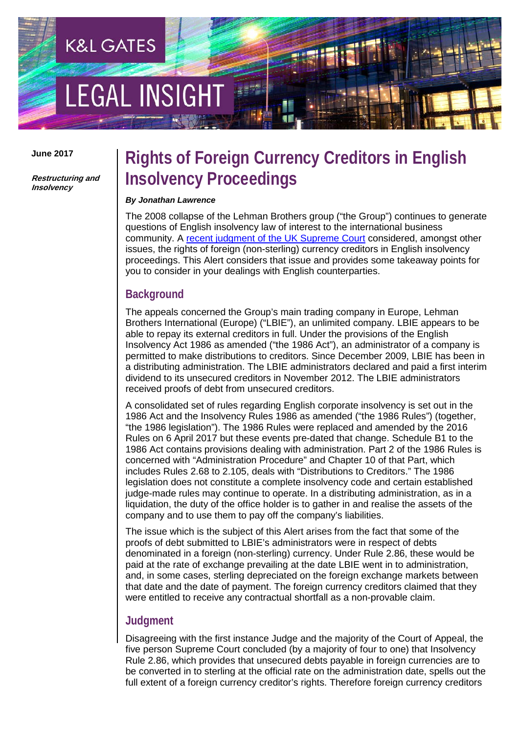# **LEGAL INSIGH**

**K&L GATES** 

**June 2017**

**Restructuring and Insolvency**

### **Rights of Foreign Currency Creditors in English Insolvency Proceedings**

#### *By Jonathan Lawrence*

The 2008 collapse of the Lehman Brothers group ("the Group") continues to generate questions of English insolvency law of interest to the international business community. A [recent judgment of the UK Supreme Court](https://www.supremecourt.uk/cases/docs/uksc-2015-0137-judgment.pdf) considered, amongst other issues, the rights of foreign (non-sterling) currency creditors in English insolvency proceedings. This Alert considers that issue and provides some takeaway points for you to consider in your dealings with English counterparties.

#### **Background**

The appeals concerned the Group's main trading company in Europe, Lehman Brothers International (Europe) ("LBIE"), an unlimited company. LBIE appears to be able to repay its external creditors in full. Under the provisions of the English Insolvency Act 1986 as amended ("the 1986 Act"), an administrator of a company is permitted to make distributions to creditors. Since December 2009, LBIE has been in a distributing administration. The LBIE administrators declared and paid a first interim dividend to its unsecured creditors in November 2012. The LBIE administrators received proofs of debt from unsecured creditors.

A consolidated set of rules regarding English corporate insolvency is set out in the 1986 Act and the Insolvency Rules 1986 as amended ("the 1986 Rules") (together, "the 1986 legislation"). The 1986 Rules were replaced and amended by the 2016 Rules on 6 April 2017 but these events pre-dated that change. Schedule B1 to the 1986 Act contains provisions dealing with administration. Part 2 of the 1986 Rules is concerned with "Administration Procedure" and Chapter 10 of that Part, which includes Rules 2.68 to 2.105, deals with "Distributions to Creditors." The 1986 legislation does not constitute a complete insolvency code and certain established judge-made rules may continue to operate. In a distributing administration, as in a liquidation, the duty of the office holder is to gather in and realise the assets of the company and to use them to pay off the company's liabilities.

The issue which is the subject of this Alert arises from the fact that some of the proofs of debt submitted to LBIE's administrators were in respect of debts denominated in a foreign (non-sterling) currency. Under Rule 2.86, these would be paid at the rate of exchange prevailing at the date LBIE went in to administration, and, in some cases, sterling depreciated on the foreign exchange markets between that date and the date of payment. The foreign currency creditors claimed that they were entitled to receive any contractual shortfall as a non-provable claim.

#### **Judgment**

Disagreeing with the first instance Judge and the majority of the Court of Appeal, the five person Supreme Court concluded (by a majority of four to one) that Insolvency Rule 2.86, which provides that unsecured debts payable in foreign currencies are to be converted in to sterling at the official rate on the administration date, spells out the full extent of a foreign currency creditor's rights. Therefore foreign currency creditors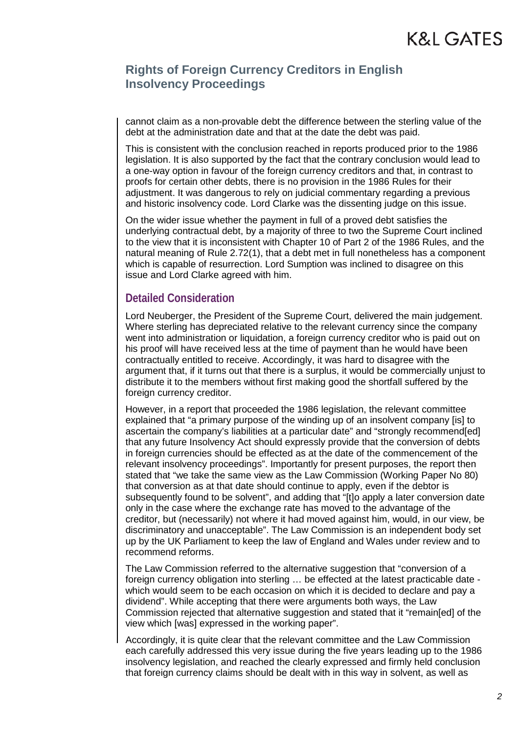#### **Rights of Foreign Currency Creditors in English Insolvency Proceedings**

cannot claim as a non-provable debt the difference between the sterling value of the debt at the administration date and that at the date the debt was paid.

This is consistent with the conclusion reached in reports produced prior to the 1986 legislation. It is also supported by the fact that the contrary conclusion would lead to a one-way option in favour of the foreign currency creditors and that, in contrast to proofs for certain other debts, there is no provision in the 1986 Rules for their adjustment. It was dangerous to rely on judicial commentary regarding a previous and historic insolvency code. Lord Clarke was the dissenting judge on this issue.

On the wider issue whether the payment in full of a proved debt satisfies the underlying contractual debt, by a majority of three to two the Supreme Court inclined to the view that it is inconsistent with Chapter 10 of Part 2 of the 1986 Rules, and the natural meaning of Rule 2.72(1), that a debt met in full nonetheless has a component which is capable of resurrection. Lord Sumption was inclined to disagree on this issue and Lord Clarke agreed with him.

#### **Detailed Consideration**

Lord Neuberger, the President of the Supreme Court, delivered the main judgement. Where sterling has depreciated relative to the relevant currency since the company went into administration or liquidation, a foreign currency creditor who is paid out on his proof will have received less at the time of payment than he would have been contractually entitled to receive. Accordingly, it was hard to disagree with the argument that, if it turns out that there is a surplus, it would be commercially unjust to distribute it to the members without first making good the shortfall suffered by the foreign currency creditor.

However, in a report that proceeded the 1986 legislation, the relevant committee explained that "a primary purpose of the winding up of an insolvent company [is] to ascertain the company's liabilities at a particular date" and "strongly recommend[ed] that any future Insolvency Act should expressly provide that the conversion of debts in foreign currencies should be effected as at the date of the commencement of the relevant insolvency proceedings". Importantly for present purposes, the report then stated that "we take the same view as the Law Commission (Working Paper No 80) that conversion as at that date should continue to apply, even if the debtor is subsequently found to be solvent", and adding that "[t]o apply a later conversion date only in the case where the exchange rate has moved to the advantage of the creditor, but (necessarily) not where it had moved against him, would, in our view, be discriminatory and unacceptable". The Law Commission is an independent body set up by the UK Parliament to keep the law of England and Wales under review and to recommend reforms.

The Law Commission referred to the alternative suggestion that "conversion of a foreign currency obligation into sterling … be effected at the latest practicable date which would seem to be each occasion on which it is decided to declare and pay a dividend". While accepting that there were arguments both ways, the Law Commission rejected that alternative suggestion and stated that it "remain[ed] of the view which [was] expressed in the working paper".

Accordingly, it is quite clear that the relevant committee and the Law Commission each carefully addressed this very issue during the five years leading up to the 1986 insolvency legislation, and reached the clearly expressed and firmly held conclusion that foreign currency claims should be dealt with in this way in solvent, as well as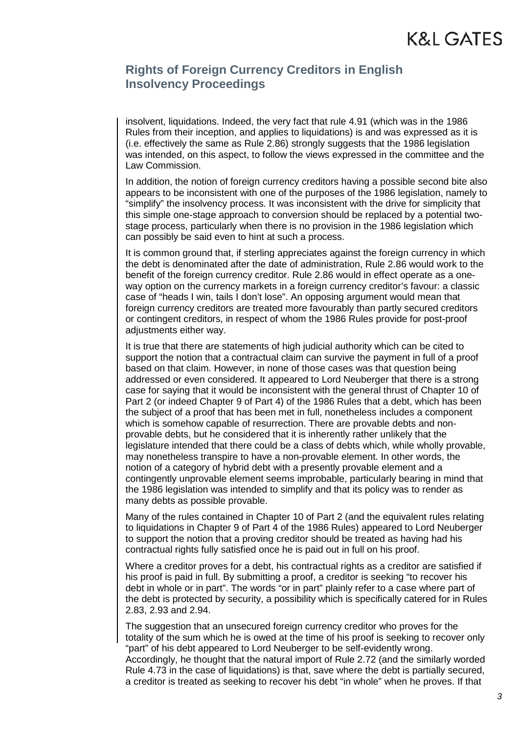#### **Rights of Foreign Currency Creditors in English Insolvency Proceedings**

insolvent, liquidations. Indeed, the very fact that rule 4.91 (which was in the 1986 Rules from their inception, and applies to liquidations) is and was expressed as it is (i.e. effectively the same as Rule 2.86) strongly suggests that the 1986 legislation was intended, on this aspect, to follow the views expressed in the committee and the Law Commission.

In addition, the notion of foreign currency creditors having a possible second bite also appears to be inconsistent with one of the purposes of the 1986 legislation, namely to "simplify" the insolvency process. It was inconsistent with the drive for simplicity that this simple one-stage approach to conversion should be replaced by a potential twostage process, particularly when there is no provision in the 1986 legislation which can possibly be said even to hint at such a process.

It is common ground that, if sterling appreciates against the foreign currency in which the debt is denominated after the date of administration, Rule 2.86 would work to the benefit of the foreign currency creditor. Rule 2.86 would in effect operate as a oneway option on the currency markets in a foreign currency creditor's favour: a classic case of "heads I win, tails I don't lose". An opposing argument would mean that foreign currency creditors are treated more favourably than partly secured creditors or contingent creditors, in respect of whom the 1986 Rules provide for post-proof adjustments either way.

It is true that there are statements of high judicial authority which can be cited to support the notion that a contractual claim can survive the payment in full of a proof based on that claim. However, in none of those cases was that question being addressed or even considered. It appeared to Lord Neuberger that there is a strong case for saying that it would be inconsistent with the general thrust of Chapter 10 of Part 2 (or indeed Chapter 9 of Part 4) of the 1986 Rules that a debt, which has been the subject of a proof that has been met in full, nonetheless includes a component which is somehow capable of resurrection. There are provable debts and nonprovable debts, but he considered that it is inherently rather unlikely that the legislature intended that there could be a class of debts which, while wholly provable, may nonetheless transpire to have a non-provable element. In other words, the notion of a category of hybrid debt with a presently provable element and a contingently unprovable element seems improbable, particularly bearing in mind that the 1986 legislation was intended to simplify and that its policy was to render as many debts as possible provable.

Many of the rules contained in Chapter 10 of Part 2 (and the equivalent rules relating to liquidations in Chapter 9 of Part 4 of the 1986 Rules) appeared to Lord Neuberger to support the notion that a proving creditor should be treated as having had his contractual rights fully satisfied once he is paid out in full on his proof.

Where a creditor proves for a debt, his contractual rights as a creditor are satisfied if his proof is paid in full. By submitting a proof, a creditor is seeking "to recover his debt in whole or in part". The words "or in part" plainly refer to a case where part of the debt is protected by security, a possibility which is specifically catered for in Rules 2.83, 2.93 and 2.94.

The suggestion that an unsecured foreign currency creditor who proves for the totality of the sum which he is owed at the time of his proof is seeking to recover only "part" of his debt appeared to Lord Neuberger to be self-evidently wrong. Accordingly, he thought that the natural import of Rule 2.72 (and the similarly worded Rule 4.73 in the case of liquidations) is that, save where the debt is partially secured, a creditor is treated as seeking to recover his debt "in whole" when he proves. If that